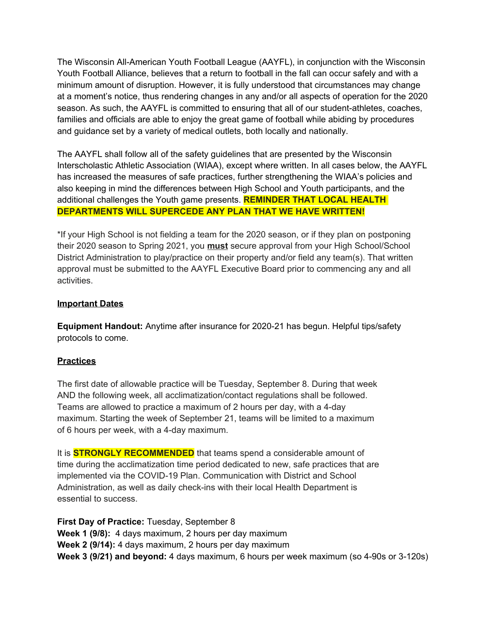The Wisconsin All-American Youth Football League (AAYFL), in conjunction with the Wisconsin Youth Football Alliance, believes that a return to football in the fall can occur safely and with a minimum amount of disruption. However, it is fully understood that circumstances may change at a moment's notice, thus rendering changes in any and/or all aspects of operation for the 2020 season. As such, the AAYFL is committed to ensuring that all of our student-athletes, coaches, families and officials are able to enjoy the great game of football while abiding by procedures and guidance set by a variety of medical outlets, both locally and nationally.

The AAYFL shall follow all of the safety guidelines that are presented by the Wisconsin Interscholastic Athletic Association (WIAA), except where written. In all cases below, the AAYFL has increased the measures of safe practices, further strengthening the WIAA's policies and also keeping in mind the differences between High School and Youth participants, and the additional challenges the Youth game presents. **REMINDER THAT LOCAL HEALTH DEPARTMENTS WILL SUPERCEDE ANY PLAN THAT WE HAVE WRITTEN!**

\*If your High School is not fielding a team for the 2020 season, or if they plan on postponing their 2020 season to Spring 2021, you **must** secure approval from your High School/School District Administration to play/practice on their property and/or field any team(s). That written approval must be submitted to the AAYFL Executive Board prior to commencing any and all activities.

#### **Important Dates**

**Equipment Handout:** Anytime after insurance for 2020-21 has begun. Helpful tips/safety protocols to come.

### **Practices**

The first date of allowable practice will be Tuesday, September 8. During that week AND the following week, all acclimatization/contact regulations shall be followed. Teams are allowed to practice a maximum of 2 hours per day, with a 4-day maximum. Starting the week of September 21, teams will be limited to a maximum of 6 hours per week, with a 4-day maximum.

It is **STRONGLY RECOMMENDED** that teams spend a considerable amount of time during the acclimatization time period dedicated to new, safe practices that are implemented via the COVID-19 Plan. Communication with District and School Administration, as well as daily check-ins with their local Health Department is essential to success.

**First Day of Practice:** Tuesday, September 8 **Week 1 (9/8):** 4 days maximum, 2 hours per day maximum **Week 2 (9/14):** 4 days maximum, 2 hours per day maximum **Week 3 (9/21) and beyond:** 4 days maximum, 6 hours per week maximum (so 4-90s or 3-120s)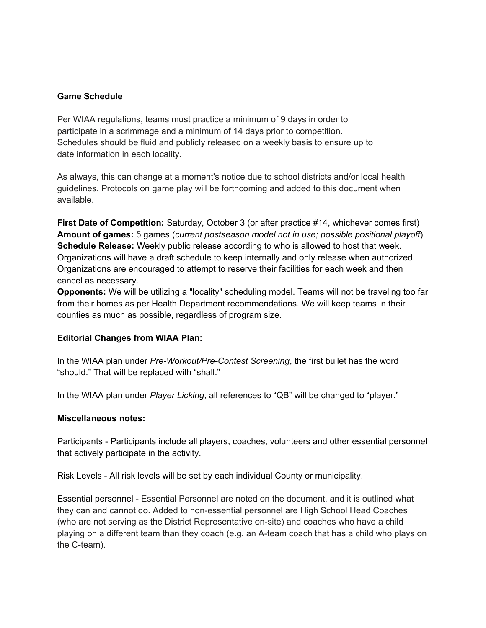#### **Game Schedule**

Per WIAA regulations, teams must practice a minimum of 9 days in order to participate in a scrimmage and a minimum of 14 days prior to competition. Schedules should be fluid and publicly released on a weekly basis to ensure up to date information in each locality.

As always, this can change at a moment's notice due to school districts and/or local health guidelines. Protocols on game play will be forthcoming and added to this document when available.

**First Date of Competition:** Saturday, October 3 (or after practice #14, whichever comes first) **Amount of games:** 5 games (*current postseason model not in use; possible positional playoff*) **Schedule Release:** Weekly public release according to who is allowed to host that week. Organizations will have a draft schedule to keep internally and only release when authorized. Organizations are encouraged to attempt to reserve their facilities for each week and then cancel as necessary.

**Opponents:** We will be utilizing a "locality" scheduling model. Teams will not be traveling too far from their homes as per Health Department recommendations. We will keep teams in their counties as much as possible, regardless of program size.

#### **Editorial Changes from WIAA Plan:**

In the WIAA plan under *Pre-Workout/Pre-Contest Screening*, the first bullet has the word "should." That will be replaced with "shall."

In the WIAA plan under *Player Licking*, all references to "QB" will be changed to "player."

#### **Miscellaneous notes:**

Participants - Participants include all players, coaches, volunteers and other essential personnel that actively participate in the activity.

Risk Levels - All risk levels will be set by each individual County or municipality.

Essential personnel - Essential Personnel are noted on the document, and it is outlined what they can and cannot do. Added to non-essential personnel are High School Head Coaches (who are not serving as the District Representative on-site) and coaches who have a child playing on a different team than they coach (e.g. an A-team coach that has a child who plays on the C-team).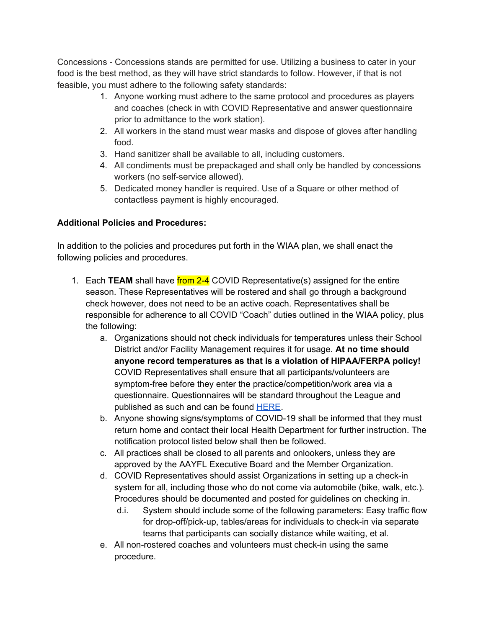Concessions - Concessions stands are permitted for use. Utilizing a business to cater in your food is the best method, as they will have strict standards to follow. However, if that is not feasible, you must adhere to the following safety standards:

- 1. Anyone working must adhere to the same protocol and procedures as players and coaches (check in with COVID Representative and answer questionnaire prior to admittance to the work station).
- 2. All workers in the stand must wear masks and dispose of gloves after handling food.
- 3. Hand sanitizer shall be available to all, including customers.
- 4. All condiments must be prepackaged and shall only be handled by concessions workers (no self-service allowed).
- 5. Dedicated money handler is required. Use of a Square or other method of contactless payment is highly encouraged.

# **Additional Policies and Procedures:**

In addition to the policies and procedures put forth in the WIAA plan, we shall enact the following policies and procedures.

- 1. Each **TEAM** shall have from 2-4 COVID Representative(s) assigned for the entire season. These Representatives will be rostered and shall go through a background check however, does not need to be an active coach. Representatives shall be responsible for adherence to all COVID "Coach" duties outlined in the WIAA policy, plus the following:
	- a. Organizations should not check individuals for temperatures unless their School District and/or Facility Management requires it for usage. **At no time should anyone record temperatures as that is a violation of HIPAA/FERPA policy!** COVID Representatives shall ensure that all participants/volunteers are symptom-free before they enter the practice/competition/work area via a questionnaire. Questionnaires will be standard throughout the League and published as such and can be found [HERE.](https://docs.google.com/spreadsheets/d/1RmYYPmk-WN4mWXZT_R12h4tA_Eal9AnFcGxeRjFGYy0/edit?usp=sharing)
	- b. Anyone showing signs/symptoms of COVID-19 shall be informed that they must return home and contact their local Health Department for further instruction. The notification protocol listed below shall then be followed.
	- c. All practices shall be closed to all parents and onlookers, unless they are approved by the AAYFL Executive Board and the Member Organization.
	- d. COVID Representatives should assist Organizations in setting up a check-in system for all, including those who do not come via automobile (bike, walk, etc.). Procedures should be documented and posted for guidelines on checking in.
		- d.i. System should include some of the following parameters: Easy traffic flow for drop-off/pick-up, tables/areas for individuals to check-in via separate teams that participants can socially distance while waiting, et al.
	- e. All non-rostered coaches and volunteers must check-in using the same procedure.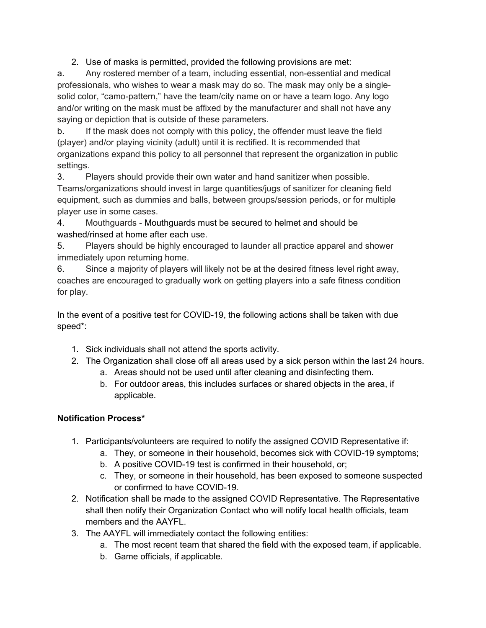2. Use of masks is permitted, provided the following provisions are met:

a. Any rostered member of a team, including essential, non-essential and medical professionals, who wishes to wear a mask may do so. The mask may only be a singlesolid color, "camo-pattern," have the team/city name on or have a team logo. Any logo and/or writing on the mask must be affixed by the manufacturer and shall not have any saying or depiction that is outside of these parameters.

b. If the mask does not comply with this policy, the offender must leave the field (player) and/or playing vicinity (adult) until it is rectified. It is recommended that organizations expand this policy to all personnel that represent the organization in public settings.

3. Players should provide their own water and hand sanitizer when possible. Teams/organizations should invest in large quantities/jugs of sanitizer for cleaning field equipment, such as dummies and balls, between groups/session periods, or for multiple player use in some cases.

4. Mouthguards - Mouthguards must be secured to helmet and should be washed/rinsed at home after each use.

5. Players should be highly encouraged to launder all practice apparel and shower immediately upon returning home.

6. Since a majority of players will likely not be at the desired fitness level right away, coaches are encouraged to gradually work on getting players into a safe fitness condition for play.

In the event of a positive test for COVID-19, the following actions shall be taken with due speed\*:

- 1. Sick individuals shall not attend the sports activity.
- 2. The Organization shall close off all areas used by a sick person within the last 24 hours.
	- a. Areas should not be used until after cleaning and disinfecting them.
	- b. For outdoor areas, this includes surfaces or shared objects in the area, if applicable.

## **Notification Process\***

- 1. Participants/volunteers are required to notify the assigned COVID Representative if:
	- a. They, or someone in their household, becomes sick with COVID-19 symptoms;
	- b. A positive COVID-19 test is confirmed in their household, or;
	- c. They, or someone in their household, has been exposed to someone suspected or confirmed to have COVID-19.
- 2. Notification shall be made to the assigned COVID Representative. The Representative shall then notify their Organization Contact who will notify local health officials, team members and the AAYFL.
- 3. The AAYFL will immediately contact the following entities:
	- a. The most recent team that shared the field with the exposed team, if applicable.
	- b. Game officials, if applicable.